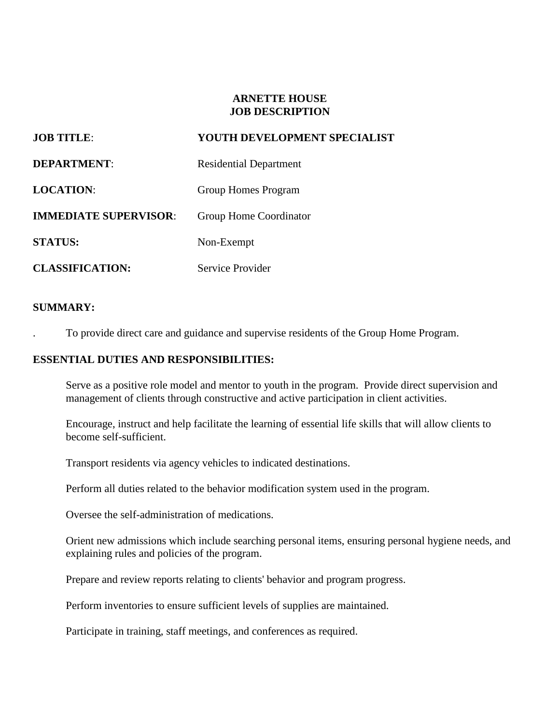#### **ARNETTE HOUSE JOB DESCRIPTION**

| <b>JOB TITLE:</b>            | YOUTH DEVELOPMENT SPECIALIST  |
|------------------------------|-------------------------------|
| <b>DEPARTMENT:</b>           | <b>Residential Department</b> |
| <b>LOCATION:</b>             | Group Homes Program           |
| <b>IMMEDIATE SUPERVISOR:</b> | Group Home Coordinator        |
| <b>STATUS:</b>               | Non-Exempt                    |
| <b>CLASSIFICATION:</b>       | Service Provider              |

### **SUMMARY:**

. To provide direct care and guidance and supervise residents of the Group Home Program.

# **ESSENTIAL DUTIES AND RESPONSIBILITIES:**

Serve as a positive role model and mentor to youth in the program. Provide direct supervision and management of clients through constructive and active participation in client activities.

Encourage, instruct and help facilitate the learning of essential life skills that will allow clients to become self-sufficient.

Transport residents via agency vehicles to indicated destinations.

Perform all duties related to the behavior modification system used in the program.

Oversee the self-administration of medications.

Orient new admissions which include searching personal items, ensuring personal hygiene needs, and explaining rules and policies of the program.

Prepare and review reports relating to clients' behavior and program progress.

Perform inventories to ensure sufficient levels of supplies are maintained.

Participate in training, staff meetings, and conferences as required.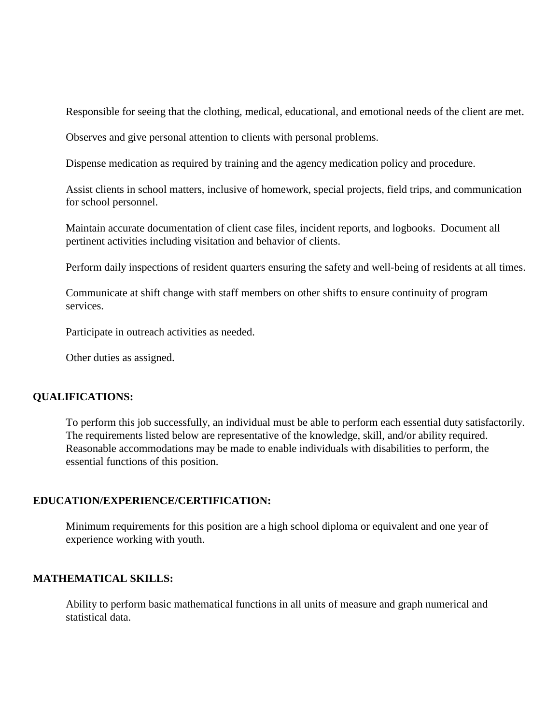Responsible for seeing that the clothing, medical, educational, and emotional needs of the client are met.

Observes and give personal attention to clients with personal problems.

Dispense medication as required by training and the agency medication policy and procedure.

Assist clients in school matters, inclusive of homework, special projects, field trips, and communication for school personnel.

Maintain accurate documentation of client case files, incident reports, and logbooks. Document all pertinent activities including visitation and behavior of clients.

Perform daily inspections of resident quarters ensuring the safety and well-being of residents at all times.

Communicate at shift change with staff members on other shifts to ensure continuity of program services.

Participate in outreach activities as needed.

Other duties as assigned.

#### **QUALIFICATIONS:**

To perform this job successfully, an individual must be able to perform each essential duty satisfactorily. The requirements listed below are representative of the knowledge, skill, and/or ability required. Reasonable accommodations may be made to enable individuals with disabilities to perform, the essential functions of this position.

#### **EDUCATION/EXPERIENCE/CERTIFICATION:**

Minimum requirements for this position are a high school diploma or equivalent and one year of experience working with youth.

#### **MATHEMATICAL SKILLS:**

Ability to perform basic mathematical functions in all units of measure and graph numerical and statistical data.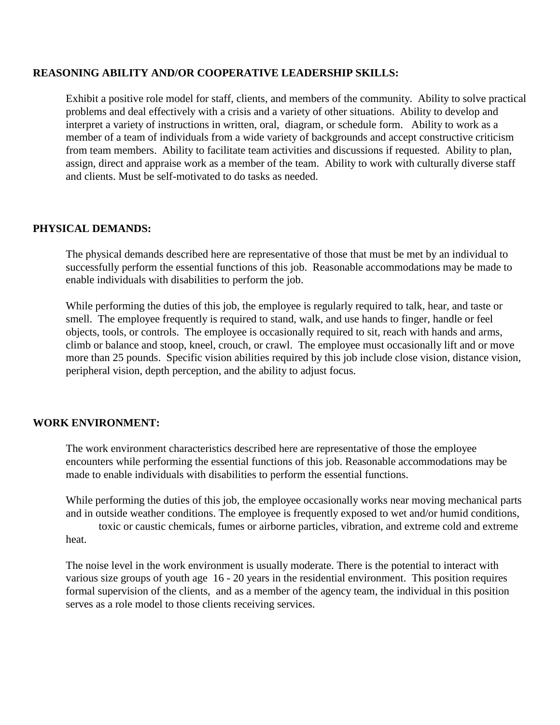#### **REASONING ABILITY AND/OR COOPERATIVE LEADERSHIP SKILLS:**

Exhibit a positive role model for staff, clients, and members of the community. Ability to solve practical problems and deal effectively with a crisis and a variety of other situations. Ability to develop and interpret a variety of instructions in written, oral, diagram, or schedule form. Ability to work as a member of a team of individuals from a wide variety of backgrounds and accept constructive criticism from team members. Ability to facilitate team activities and discussions if requested. Ability to plan, assign, direct and appraise work as a member of the team. Ability to work with culturally diverse staff and clients. Must be self-motivated to do tasks as needed.

#### **PHYSICAL DEMANDS:**

The physical demands described here are representative of those that must be met by an individual to successfully perform the essential functions of this job. Reasonable accommodations may be made to enable individuals with disabilities to perform the job.

While performing the duties of this job, the employee is regularly required to talk, hear, and taste or smell. The employee frequently is required to stand, walk, and use hands to finger, handle or feel objects, tools, or controls. The employee is occasionally required to sit, reach with hands and arms, climb or balance and stoop, kneel, crouch, or crawl. The employee must occasionally lift and or move more than 25 pounds. Specific vision abilities required by this job include close vision, distance vision, peripheral vision, depth perception, and the ability to adjust focus.

#### **WORK ENVIRONMENT:**

The work environment characteristics described here are representative of those the employee encounters while performing the essential functions of this job. Reasonable accommodations may be made to enable individuals with disabilities to perform the essential functions.

While performing the duties of this job, the employee occasionally works near moving mechanical parts and in outside weather conditions. The employee is frequently exposed to wet and/or humid conditions, toxic or caustic chemicals, fumes or airborne particles, vibration, and extreme cold and extreme heat.

The noise level in the work environment is usually moderate. There is the potential to interact with various size groups of youth age 16 - 20 years in the residential environment. This position requires formal supervision of the clients, and as a member of the agency team, the individual in this position serves as a role model to those clients receiving services.